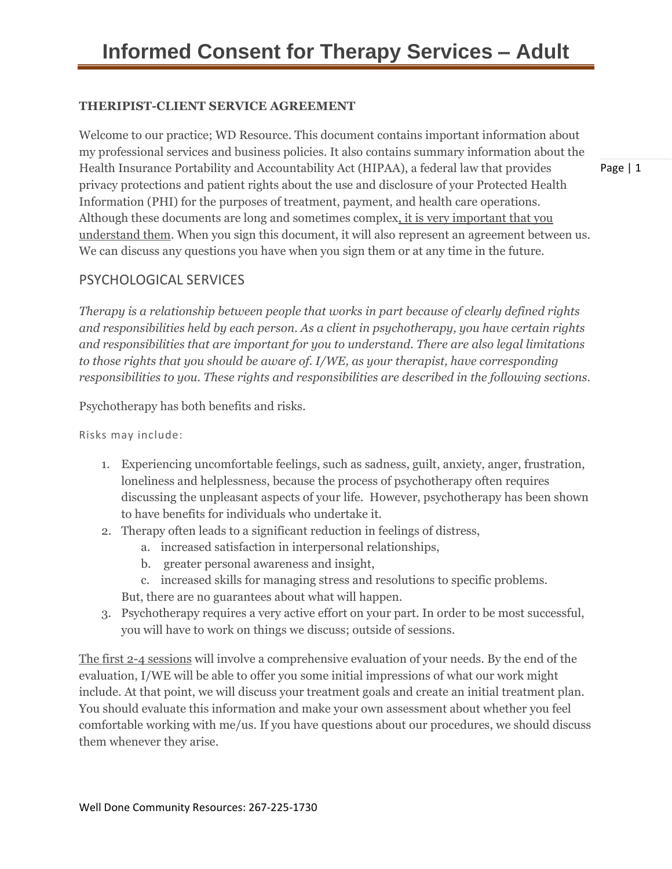#### **THERIPIST-CLIENT SERVICE AGREEMENT**

Welcome to our practice; WD Resource. This document contains important information about my professional services and business policies. It also contains summary information about the Health Insurance Portability and Accountability Act (HIPAA), a federal law that provides privacy protections and patient rights about the use and disclosure of your Protected Health Information (PHI) for the purposes of treatment, payment, and health care operations. Although these documents are long and sometimes complex, it is very important that you understand them. When you sign this document, it will also represent an agreement between us. We can discuss any questions you have when you sign them or at any time in the future.

### PSYCHOLOGICAL SERVICES

*Therapy is a relationship between people that works in part because of clearly defined rights and responsibilities held by each person. As a client in psychotherapy, you have certain rights and responsibilities that are important for you to understand. There are also legal limitations to those rights that you should be aware of. I/WE, as your therapist, have corresponding responsibilities to you. These rights and responsibilities are described in the following sections.*

Psychotherapy has both benefits and risks.

Risks may include:

- 1. Experiencing uncomfortable feelings, such as sadness, guilt, anxiety, anger, frustration, loneliness and helplessness, because the process of psychotherapy often requires discussing the unpleasant aspects of your life. However, psychotherapy has been shown to have benefits for individuals who undertake it.
- 2. Therapy often leads to a significant reduction in feelings of distress,
	- a. increased satisfaction in interpersonal relationships,
	- b. greater personal awareness and insight,
	- c. increased skills for managing stress and resolutions to specific problems.
	- But, there are no guarantees about what will happen.
- 3. Psychotherapy requires a very active effort on your part. In order to be most successful, you will have to work on things we discuss; outside of sessions.

The first 2-4 sessions will involve a comprehensive evaluation of your needs. By the end of the evaluation, I/WE will be able to offer you some initial impressions of what our work might include. At that point, we will discuss your treatment goals and create an initial treatment plan. You should evaluate this information and make your own assessment about whether you feel comfortable working with me/us. If you have questions about our procedures, we should discuss them whenever they arise.

Page | 1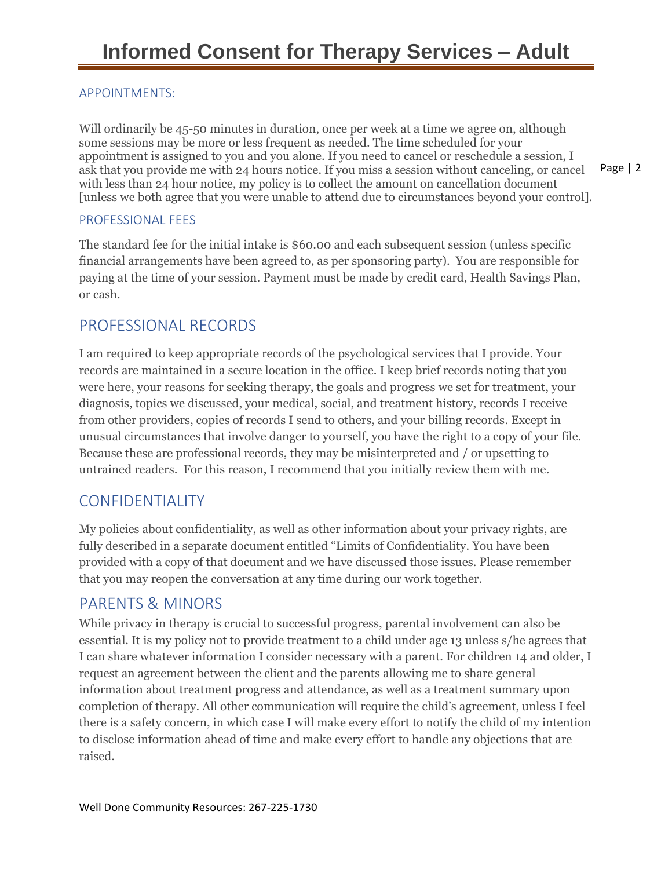## APPOINTMENTS:

Will ordinarily be 45-50 minutes in duration, once per week at a time we agree on, although some sessions may be more or less frequent as needed. The time scheduled for your appointment is assigned to you and you alone. If you need to cancel or reschedule a session, I ask that you provide me with 24 hours notice. If you miss a session without canceling, or cancel with less than 24 hour notice, my policy is to collect the amount on cancellation document [unless we both agree that you were unable to attend due to circumstances beyond your control].

#### PROFESSIONAL FEES

The standard fee for the initial intake is \$60.00 and each subsequent session (unless specific financial arrangements have been agreed to, as per sponsoring party). You are responsible for paying at the time of your session. Payment must be made by credit card, Health Savings Plan, or cash.

# PROFESSIONAL RECORDS

I am required to keep appropriate records of the psychological services that I provide. Your records are maintained in a secure location in the office. I keep brief records noting that you were here, your reasons for seeking therapy, the goals and progress we set for treatment, your diagnosis, topics we discussed, your medical, social, and treatment history, records I receive from other providers, copies of records I send to others, and your billing records. Except in unusual circumstances that involve danger to yourself, you have the right to a copy of your file. Because these are professional records, they may be misinterpreted and / or upsetting to untrained readers. For this reason, I recommend that you initially review them with me.

# CONFIDENTIALITY

My policies about confidentiality, as well as other information about your privacy rights, are fully described in a separate document entitled "Limits of Confidentiality. You have been provided with a copy of that document and we have discussed those issues. Please remember that you may reopen the conversation at any time during our work together.

# PARENTS & MINORS

While privacy in therapy is crucial to successful progress, parental involvement can also be essential. It is my policy not to provide treatment to a child under age 13 unless s/he agrees that I can share whatever information I consider necessary with a parent. For children 14 and older, I request an agreement between the client and the parents allowing me to share general information about treatment progress and attendance, as well as a treatment summary upon completion of therapy. All other communication will require the child's agreement, unless I feel there is a safety concern, in which case I will make every effort to notify the child of my intention to disclose information ahead of time and make every effort to handle any objections that are raised.

Page | 2